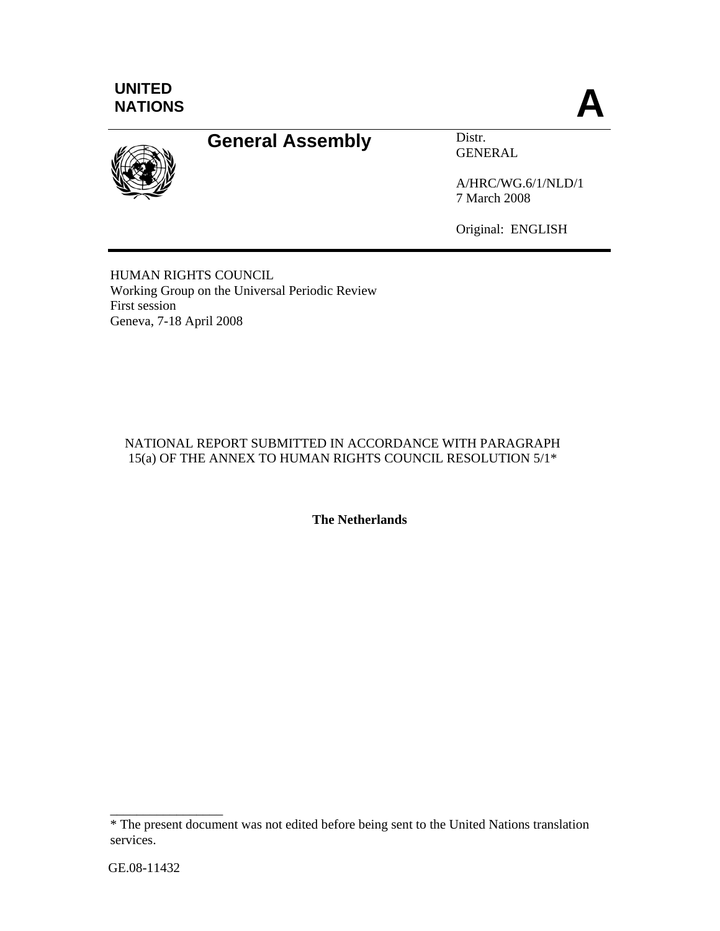



# **General Assembly** Distr.

GENERAL

A/HRC/WG.6/1/NLD/1 7 March 2008

Original: ENGLISH

HUMAN RIGHTS COUNCIL Working Group on the Universal Periodic Review First session Geneva, 7-18 April 2008

#### NATIONAL REPORT SUBMITTED IN ACCORDANCE WITH PARAGRAPH 15(a) OF THE ANNEX TO HUMAN RIGHTS COUNCIL RESOLUTION 5/1\*

**The Netherlands** 

\_\_\_\_\_\_\_\_\_\_\_\_\_\_\_\_\_

<sup>\*</sup> The present document was not edited before being sent to the United Nations translation services.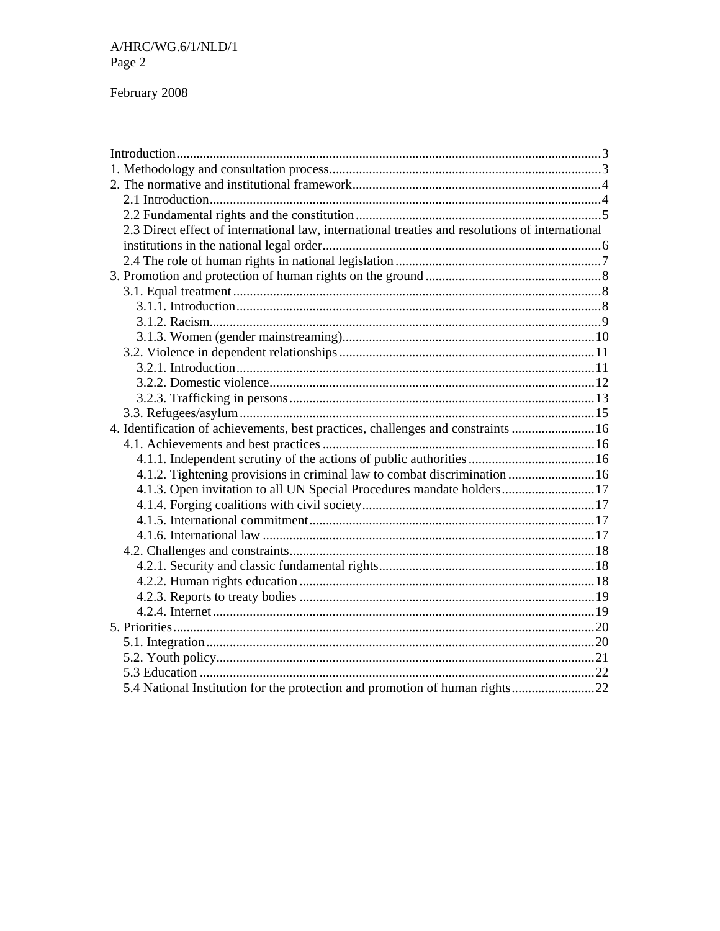### February 2008

| 2.3 Direct effect of international law, international treaties and resolutions of international |  |
|-------------------------------------------------------------------------------------------------|--|
|                                                                                                 |  |
|                                                                                                 |  |
|                                                                                                 |  |
|                                                                                                 |  |
|                                                                                                 |  |
|                                                                                                 |  |
|                                                                                                 |  |
|                                                                                                 |  |
|                                                                                                 |  |
|                                                                                                 |  |
|                                                                                                 |  |
|                                                                                                 |  |
| 4. Identification of achievements, best practices, challenges and constraints  16               |  |
|                                                                                                 |  |
|                                                                                                 |  |
| 4.1.2. Tightening provisions in criminal law to combat discrimination  16                       |  |
| 4.1.3. Open invitation to all UN Special Procedures mandate holders17                           |  |
|                                                                                                 |  |
|                                                                                                 |  |
|                                                                                                 |  |
|                                                                                                 |  |
|                                                                                                 |  |
|                                                                                                 |  |
|                                                                                                 |  |
|                                                                                                 |  |
|                                                                                                 |  |
|                                                                                                 |  |
|                                                                                                 |  |
|                                                                                                 |  |
| 5.4 National Institution for the protection and promotion of human rights22                     |  |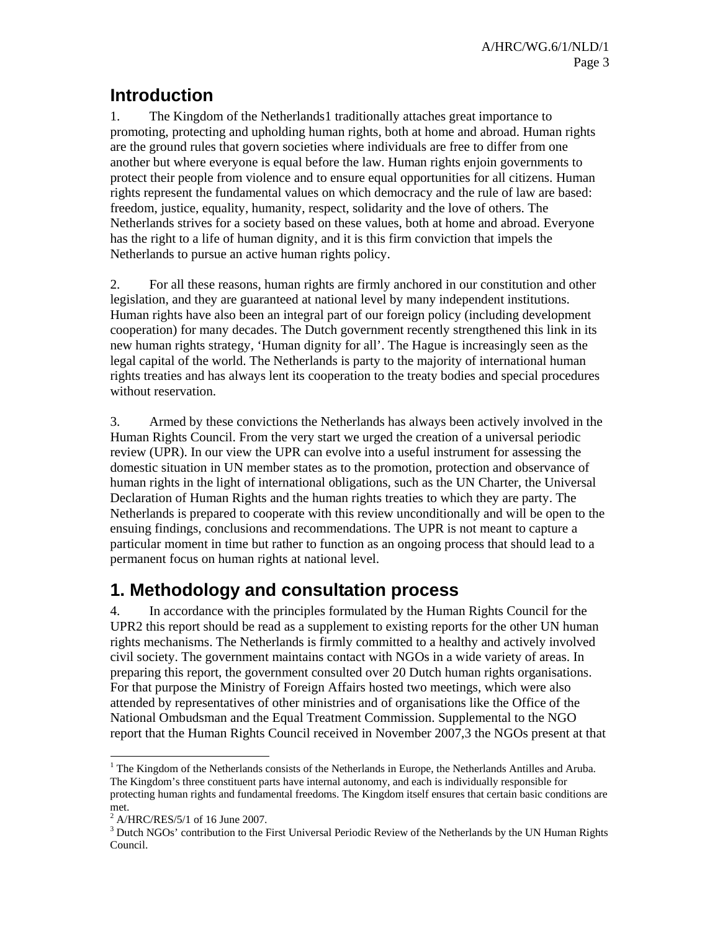## **Introduction**

1. The Kingdom of the Netherlands1 traditionally attaches great importance to promoting, protecting and upholding human rights, both at home and abroad. Human rights are the ground rules that govern societies where individuals are free to differ from one another but where everyone is equal before the law. Human rights enjoin governments to protect their people from violence and to ensure equal opportunities for all citizens. Human rights represent the fundamental values on which democracy and the rule of law are based: freedom, justice, equality, humanity, respect, solidarity and the love of others. The Netherlands strives for a society based on these values, both at home and abroad. Everyone has the right to a life of human dignity, and it is this firm conviction that impels the Netherlands to pursue an active human rights policy.

2. For all these reasons, human rights are firmly anchored in our constitution and other legislation, and they are guaranteed at national level by many independent institutions. Human rights have also been an integral part of our foreign policy (including development cooperation) for many decades. The Dutch government recently strengthened this link in its new human rights strategy, 'Human dignity for all'. The Hague is increasingly seen as the legal capital of the world. The Netherlands is party to the majority of international human rights treaties and has always lent its cooperation to the treaty bodies and special procedures without reservation.

3. Armed by these convictions the Netherlands has always been actively involved in the Human Rights Council. From the very start we urged the creation of a universal periodic review (UPR). In our view the UPR can evolve into a useful instrument for assessing the domestic situation in UN member states as to the promotion, protection and observance of human rights in the light of international obligations, such as the UN Charter, the Universal Declaration of Human Rights and the human rights treaties to which they are party. The Netherlands is prepared to cooperate with this review unconditionally and will be open to the ensuing findings, conclusions and recommendations. The UPR is not meant to capture a particular moment in time but rather to function as an ongoing process that should lead to a permanent focus on human rights at national level.

## **1. Methodology and consultation process**

4. In accordance with the principles formulated by the Human Rights Council for the UPR2 this report should be read as a supplement to existing reports for the other UN human rights mechanisms. The Netherlands is firmly committed to a healthy and actively involved civil society. The government maintains contact with NGOs in a wide variety of areas. In preparing this report, the government consulted over 20 Dutch human rights organisations. For that purpose the Ministry of Foreign Affairs hosted two meetings, which were also attended by representatives of other ministries and of organisations like the Office of the National Ombudsman and the Equal Treatment Commission. Supplemental to the NGO report that the Human Rights Council received in November 2007,3 the NGOs present at that

-

<sup>&</sup>lt;sup>1</sup> The Kingdom of the Netherlands consists of the Netherlands in Europe, the Netherlands Antilles and Aruba. The Kingdom's three constituent parts have internal autonomy, and each is individually responsible for protecting human rights and fundamental freedoms. The Kingdom itself ensures that certain basic conditions are

met.<br><sup>2</sup> A/HRC/RES/5/1 of 16 June 2007.

<sup>&</sup>lt;sup>3</sup> Dutch NGOs' contribution to the First Universal Periodic Review of the Netherlands by the UN Human Rights Council.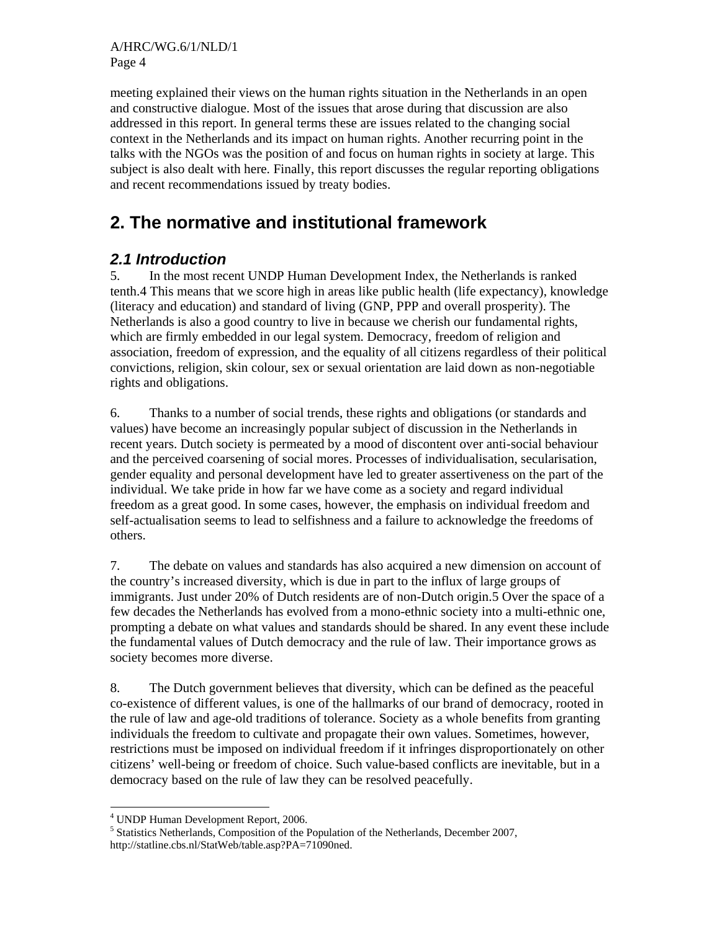A/HRC/WG.6/1/NLD/1 Page 4

meeting explained their views on the human rights situation in the Netherlands in an open and constructive dialogue. Most of the issues that arose during that discussion are also addressed in this report. In general terms these are issues related to the changing social context in the Netherlands and its impact on human rights. Another recurring point in the talks with the NGOs was the position of and focus on human rights in society at large. This subject is also dealt with here. Finally, this report discusses the regular reporting obligations and recent recommendations issued by treaty bodies.

## **2. The normative and institutional framework**

## *2.1 Introduction*

5. In the most recent UNDP Human Development Index, the Netherlands is ranked tenth.4 This means that we score high in areas like public health (life expectancy), knowledge (literacy and education) and standard of living (GNP, PPP and overall prosperity). The Netherlands is also a good country to live in because we cherish our fundamental rights, which are firmly embedded in our legal system. Democracy, freedom of religion and association, freedom of expression, and the equality of all citizens regardless of their political convictions, religion, skin colour, sex or sexual orientation are laid down as non-negotiable rights and obligations.

6. Thanks to a number of social trends, these rights and obligations (or standards and values) have become an increasingly popular subject of discussion in the Netherlands in recent years. Dutch society is permeated by a mood of discontent over anti-social behaviour and the perceived coarsening of social mores. Processes of individualisation, secularisation, gender equality and personal development have led to greater assertiveness on the part of the individual. We take pride in how far we have come as a society and regard individual freedom as a great good. In some cases, however, the emphasis on individual freedom and self-actualisation seems to lead to selfishness and a failure to acknowledge the freedoms of others.

7. The debate on values and standards has also acquired a new dimension on account of the country's increased diversity, which is due in part to the influx of large groups of immigrants. Just under 20% of Dutch residents are of non-Dutch origin.5 Over the space of a few decades the Netherlands has evolved from a mono-ethnic society into a multi-ethnic one, prompting a debate on what values and standards should be shared. In any event these include the fundamental values of Dutch democracy and the rule of law. Their importance grows as society becomes more diverse.

8. The Dutch government believes that diversity, which can be defined as the peaceful co-existence of different values, is one of the hallmarks of our brand of democracy, rooted in the rule of law and age-old traditions of tolerance. Society as a whole benefits from granting individuals the freedom to cultivate and propagate their own values. Sometimes, however, restrictions must be imposed on individual freedom if it infringes disproportionately on other citizens' well-being or freedom of choice. Such value-based conflicts are inevitable, but in a democracy based on the rule of law they can be resolved peacefully.

<sup>-</sup>4 UNDP Human Development Report, 2006.

<sup>&</sup>lt;sup>5</sup> Statistics Netherlands, Composition of the Population of the Netherlands, December 2007, http://statline.cbs.nl/StatWeb/table.asp?PA=71090ned.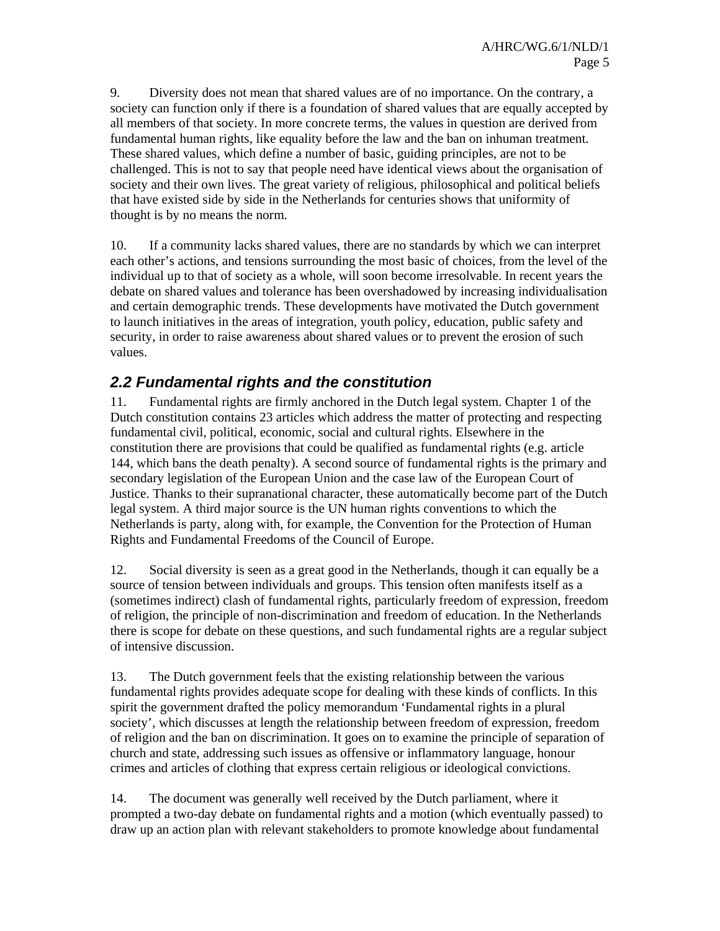9. Diversity does not mean that shared values are of no importance. On the contrary, a society can function only if there is a foundation of shared values that are equally accepted by all members of that society. In more concrete terms, the values in question are derived from fundamental human rights, like equality before the law and the ban on inhuman treatment. These shared values, which define a number of basic, guiding principles, are not to be challenged. This is not to say that people need have identical views about the organisation of society and their own lives. The great variety of religious, philosophical and political beliefs that have existed side by side in the Netherlands for centuries shows that uniformity of thought is by no means the norm.

10. If a community lacks shared values, there are no standards by which we can interpret each other's actions, and tensions surrounding the most basic of choices, from the level of the individual up to that of society as a whole, will soon become irresolvable. In recent years the debate on shared values and tolerance has been overshadowed by increasing individualisation and certain demographic trends. These developments have motivated the Dutch government to launch initiatives in the areas of integration, youth policy, education, public safety and security, in order to raise awareness about shared values or to prevent the erosion of such values.

## *2.2 Fundamental rights and the constitution*

11. Fundamental rights are firmly anchored in the Dutch legal system. Chapter 1 of the Dutch constitution contains 23 articles which address the matter of protecting and respecting fundamental civil, political, economic, social and cultural rights. Elsewhere in the constitution there are provisions that could be qualified as fundamental rights (e.g. article 144, which bans the death penalty). A second source of fundamental rights is the primary and secondary legislation of the European Union and the case law of the European Court of Justice. Thanks to their supranational character, these automatically become part of the Dutch legal system. A third major source is the UN human rights conventions to which the Netherlands is party, along with, for example, the Convention for the Protection of Human Rights and Fundamental Freedoms of the Council of Europe.

12. Social diversity is seen as a great good in the Netherlands, though it can equally be a source of tension between individuals and groups. This tension often manifests itself as a (sometimes indirect) clash of fundamental rights, particularly freedom of expression, freedom of religion, the principle of non-discrimination and freedom of education. In the Netherlands there is scope for debate on these questions, and such fundamental rights are a regular subject of intensive discussion.

13. The Dutch government feels that the existing relationship between the various fundamental rights provides adequate scope for dealing with these kinds of conflicts. In this spirit the government drafted the policy memorandum 'Fundamental rights in a plural society', which discusses at length the relationship between freedom of expression, freedom of religion and the ban on discrimination. It goes on to examine the principle of separation of church and state, addressing such issues as offensive or inflammatory language, honour crimes and articles of clothing that express certain religious or ideological convictions.

14. The document was generally well received by the Dutch parliament, where it prompted a two-day debate on fundamental rights and a motion (which eventually passed) to draw up an action plan with relevant stakeholders to promote knowledge about fundamental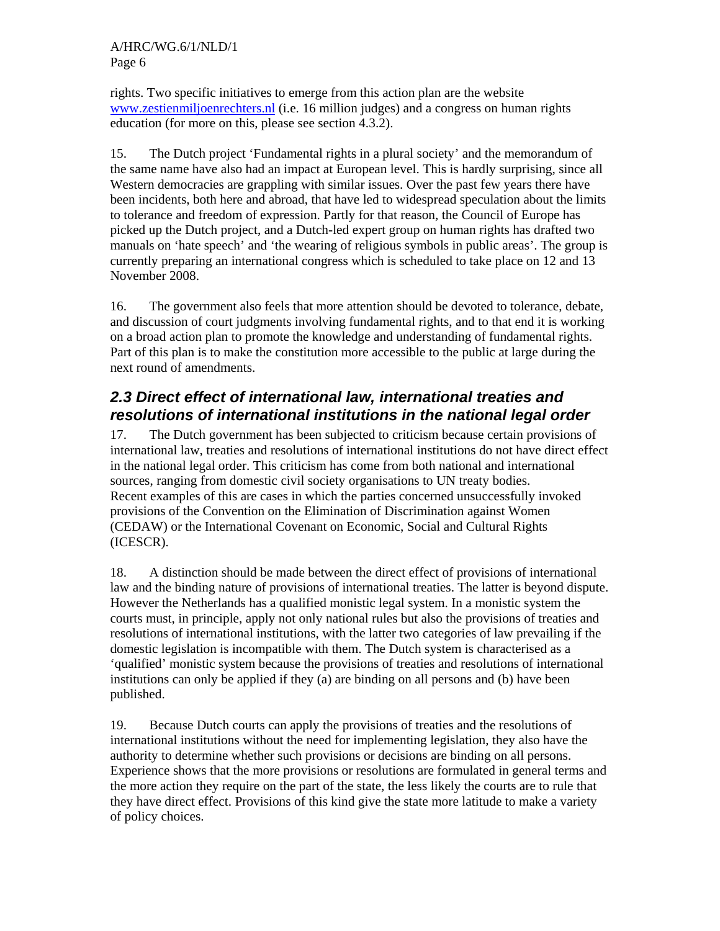rights. Two specific initiatives to emerge from this action plan are the website www.zestienmiljoenrechters.nl (i.e. 16 million judges) and a congress on human rights education (for more on this, please see section 4.3.2).

15. The Dutch project 'Fundamental rights in a plural society' and the memorandum of the same name have also had an impact at European level. This is hardly surprising, since all Western democracies are grappling with similar issues. Over the past few years there have been incidents, both here and abroad, that have led to widespread speculation about the limits to tolerance and freedom of expression. Partly for that reason, the Council of Europe has picked up the Dutch project, and a Dutch-led expert group on human rights has drafted two manuals on 'hate speech' and 'the wearing of religious symbols in public areas'. The group is currently preparing an international congress which is scheduled to take place on 12 and 13 November 2008.

16. The government also feels that more attention should be devoted to tolerance, debate, and discussion of court judgments involving fundamental rights, and to that end it is working on a broad action plan to promote the knowledge and understanding of fundamental rights. Part of this plan is to make the constitution more accessible to the public at large during the next round of amendments.

## *2.3 Direct effect of international law, international treaties and resolutions of international institutions in the national legal order*

17. The Dutch government has been subjected to criticism because certain provisions of international law, treaties and resolutions of international institutions do not have direct effect in the national legal order. This criticism has come from both national and international sources, ranging from domestic civil society organisations to UN treaty bodies. Recent examples of this are cases in which the parties concerned unsuccessfully invoked provisions of the Convention on the Elimination of Discrimination against Women (CEDAW) or the International Covenant on Economic, Social and Cultural Rights (ICESCR).

18. A distinction should be made between the direct effect of provisions of international law and the binding nature of provisions of international treaties. The latter is beyond dispute. However the Netherlands has a qualified monistic legal system. In a monistic system the courts must, in principle, apply not only national rules but also the provisions of treaties and resolutions of international institutions, with the latter two categories of law prevailing if the domestic legislation is incompatible with them. The Dutch system is characterised as a 'qualified' monistic system because the provisions of treaties and resolutions of international institutions can only be applied if they (a) are binding on all persons and (b) have been published.

19. Because Dutch courts can apply the provisions of treaties and the resolutions of international institutions without the need for implementing legislation, they also have the authority to determine whether such provisions or decisions are binding on all persons. Experience shows that the more provisions or resolutions are formulated in general terms and the more action they require on the part of the state, the less likely the courts are to rule that they have direct effect. Provisions of this kind give the state more latitude to make a variety of policy choices.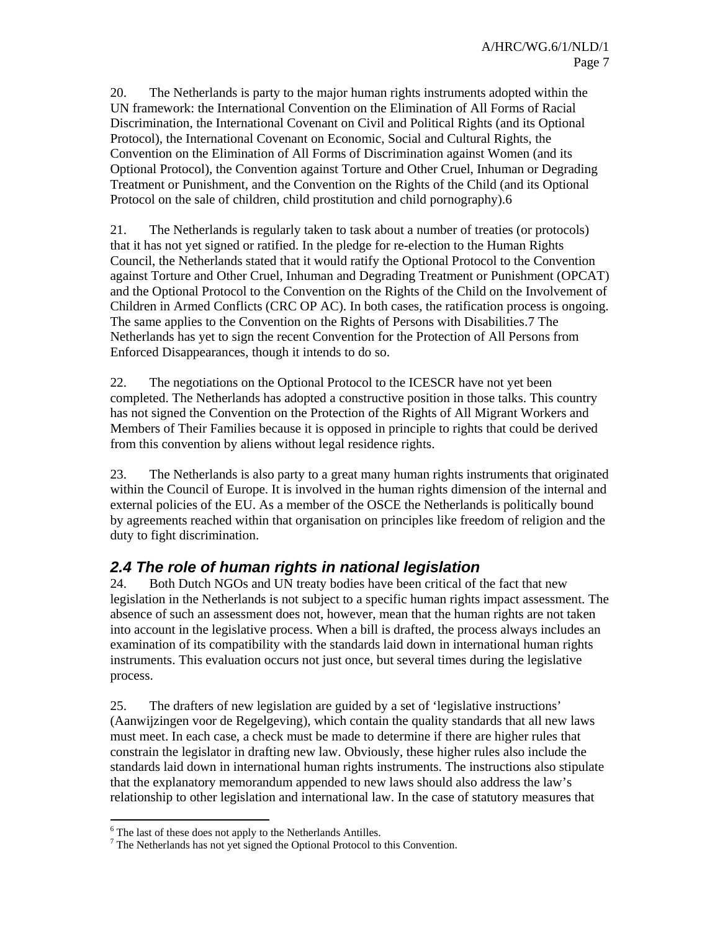20. The Netherlands is party to the major human rights instruments adopted within the UN framework: the International Convention on the Elimination of All Forms of Racial Discrimination, the International Covenant on Civil and Political Rights (and its Optional Protocol), the International Covenant on Economic, Social and Cultural Rights, the Convention on the Elimination of All Forms of Discrimination against Women (and its Optional Protocol), the Convention against Torture and Other Cruel, Inhuman or Degrading Treatment or Punishment, and the Convention on the Rights of the Child (and its Optional Protocol on the sale of children, child prostitution and child pornography).6

21. The Netherlands is regularly taken to task about a number of treaties (or protocols) that it has not yet signed or ratified. In the pledge for re-election to the Human Rights Council, the Netherlands stated that it would ratify the Optional Protocol to the Convention against Torture and Other Cruel, Inhuman and Degrading Treatment or Punishment (OPCAT) and the Optional Protocol to the Convention on the Rights of the Child on the Involvement of Children in Armed Conflicts (CRC OP AC). In both cases, the ratification process is ongoing. The same applies to the Convention on the Rights of Persons with Disabilities.7 The Netherlands has yet to sign the recent Convention for the Protection of All Persons from Enforced Disappearances, though it intends to do so.

22. The negotiations on the Optional Protocol to the ICESCR have not yet been completed. The Netherlands has adopted a constructive position in those talks. This country has not signed the Convention on the Protection of the Rights of All Migrant Workers and Members of Their Families because it is opposed in principle to rights that could be derived from this convention by aliens without legal residence rights.

23. The Netherlands is also party to a great many human rights instruments that originated within the Council of Europe. It is involved in the human rights dimension of the internal and external policies of the EU. As a member of the OSCE the Netherlands is politically bound by agreements reached within that organisation on principles like freedom of religion and the duty to fight discrimination.

## *2.4 The role of human rights in national legislation*

24. Both Dutch NGOs and UN treaty bodies have been critical of the fact that new legislation in the Netherlands is not subject to a specific human rights impact assessment. The absence of such an assessment does not, however, mean that the human rights are not taken into account in the legislative process. When a bill is drafted, the process always includes an examination of its compatibility with the standards laid down in international human rights instruments. This evaluation occurs not just once, but several times during the legislative process.

25. The drafters of new legislation are guided by a set of 'legislative instructions' (Aanwijzingen voor de Regelgeving), which contain the quality standards that all new laws must meet. In each case, a check must be made to determine if there are higher rules that constrain the legislator in drafting new law. Obviously, these higher rules also include the standards laid down in international human rights instruments. The instructions also stipulate that the explanatory memorandum appended to new laws should also address the law's relationship to other legislation and international law. In the case of statutory measures that

<sup>-</sup><sup>6</sup> The last of these does not apply to the Netherlands Antilles.

<sup>&</sup>lt;sup>7</sup> The Netherlands has not yet signed the Optional Protocol to this Convention.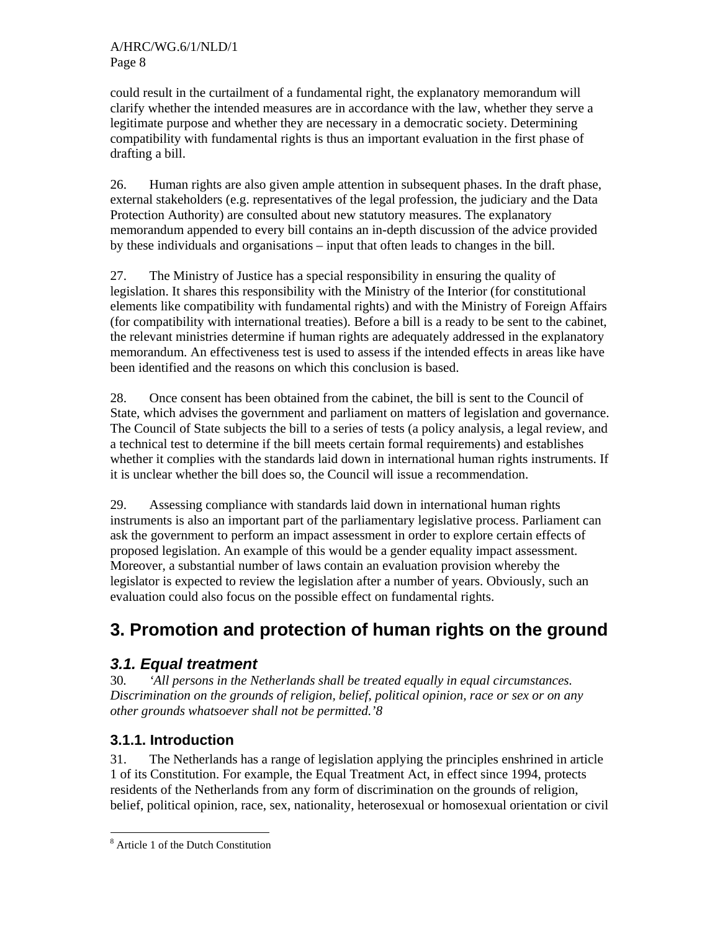could result in the curtailment of a fundamental right, the explanatory memorandum will clarify whether the intended measures are in accordance with the law, whether they serve a legitimate purpose and whether they are necessary in a democratic society. Determining compatibility with fundamental rights is thus an important evaluation in the first phase of drafting a bill.

26. Human rights are also given ample attention in subsequent phases. In the draft phase, external stakeholders (e.g. representatives of the legal profession, the judiciary and the Data Protection Authority) are consulted about new statutory measures. The explanatory memorandum appended to every bill contains an in-depth discussion of the advice provided by these individuals and organisations – input that often leads to changes in the bill.

27. The Ministry of Justice has a special responsibility in ensuring the quality of legislation. It shares this responsibility with the Ministry of the Interior (for constitutional elements like compatibility with fundamental rights) and with the Ministry of Foreign Affairs (for compatibility with international treaties). Before a bill is a ready to be sent to the cabinet, the relevant ministries determine if human rights are adequately addressed in the explanatory memorandum. An effectiveness test is used to assess if the intended effects in areas like have been identified and the reasons on which this conclusion is based.

28. Once consent has been obtained from the cabinet, the bill is sent to the Council of State, which advises the government and parliament on matters of legislation and governance. The Council of State subjects the bill to a series of tests (a policy analysis, a legal review, and a technical test to determine if the bill meets certain formal requirements) and establishes whether it complies with the standards laid down in international human rights instruments. If it is unclear whether the bill does so, the Council will issue a recommendation.

29. Assessing compliance with standards laid down in international human rights instruments is also an important part of the parliamentary legislative process. Parliament can ask the government to perform an impact assessment in order to explore certain effects of proposed legislation. An example of this would be a gender equality impact assessment. Moreover, a substantial number of laws contain an evaluation provision whereby the legislator is expected to review the legislation after a number of years. Obviously, such an evaluation could also focus on the possible effect on fundamental rights.

# **3. Promotion and protection of human rights on the ground**

## *3.1. Equal treatment*

30*. 'All persons in the Netherlands shall be treated equally in equal circumstances. Discrimination on the grounds of religion, belief, political opinion, race or sex or on any other grounds whatsoever shall not be permitted.'8* 

## **3.1.1. Introduction**

31. The Netherlands has a range of legislation applying the principles enshrined in article 1 of its Constitution. For example, the Equal Treatment Act, in effect since 1994, protects residents of the Netherlands from any form of discrimination on the grounds of religion, belief, political opinion, race, sex, nationality, heterosexual or homosexual orientation or civil

<sup>-</sup>8 Article 1 of the Dutch Constitution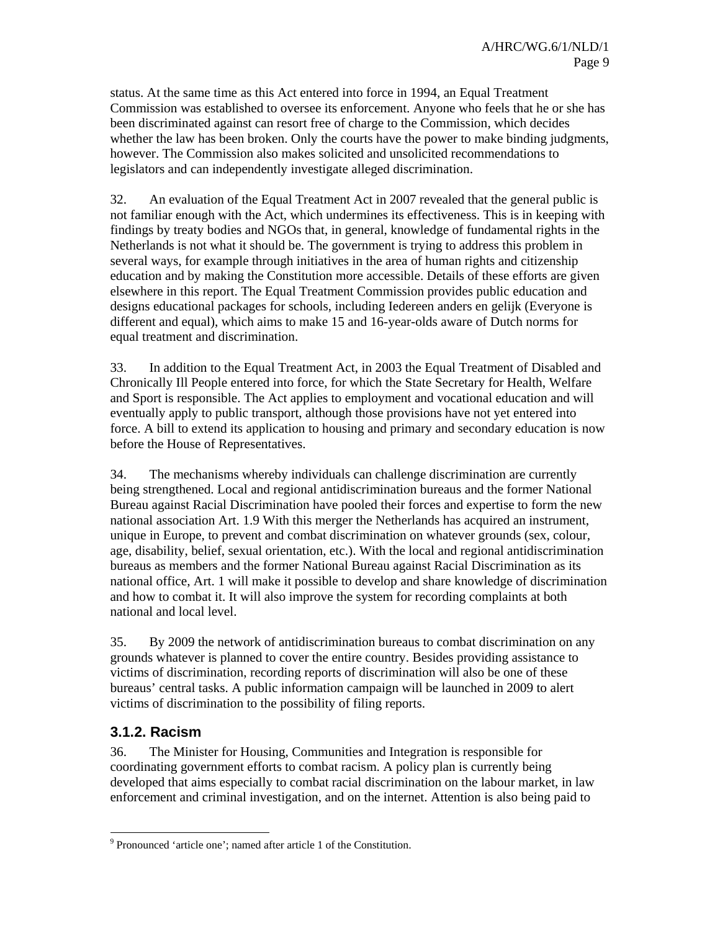status. At the same time as this Act entered into force in 1994, an Equal Treatment Commission was established to oversee its enforcement. Anyone who feels that he or she has been discriminated against can resort free of charge to the Commission, which decides whether the law has been broken. Only the courts have the power to make binding judgments, however. The Commission also makes solicited and unsolicited recommendations to legislators and can independently investigate alleged discrimination.

32. An evaluation of the Equal Treatment Act in 2007 revealed that the general public is not familiar enough with the Act, which undermines its effectiveness. This is in keeping with findings by treaty bodies and NGOs that, in general, knowledge of fundamental rights in the Netherlands is not what it should be. The government is trying to address this problem in several ways, for example through initiatives in the area of human rights and citizenship education and by making the Constitution more accessible. Details of these efforts are given elsewhere in this report. The Equal Treatment Commission provides public education and designs educational packages for schools, including Iedereen anders en gelijk (Everyone is different and equal), which aims to make 15 and 16-year-olds aware of Dutch norms for equal treatment and discrimination.

33. In addition to the Equal Treatment Act, in 2003 the Equal Treatment of Disabled and Chronically Ill People entered into force, for which the State Secretary for Health, Welfare and Sport is responsible. The Act applies to employment and vocational education and will eventually apply to public transport, although those provisions have not yet entered into force. A bill to extend its application to housing and primary and secondary education is now before the House of Representatives.

34. The mechanisms whereby individuals can challenge discrimination are currently being strengthened. Local and regional antidiscrimination bureaus and the former National Bureau against Racial Discrimination have pooled their forces and expertise to form the new national association Art. 1.9 With this merger the Netherlands has acquired an instrument, unique in Europe, to prevent and combat discrimination on whatever grounds (sex, colour, age, disability, belief, sexual orientation, etc.). With the local and regional antidiscrimination bureaus as members and the former National Bureau against Racial Discrimination as its national office, Art. 1 will make it possible to develop and share knowledge of discrimination and how to combat it. It will also improve the system for recording complaints at both national and local level.

35. By 2009 the network of antidiscrimination bureaus to combat discrimination on any grounds whatever is planned to cover the entire country. Besides providing assistance to victims of discrimination, recording reports of discrimination will also be one of these bureaus' central tasks. A public information campaign will be launched in 2009 to alert victims of discrimination to the possibility of filing reports.

## **3.1.2. Racism**

36. The Minister for Housing, Communities and Integration is responsible for coordinating government efforts to combat racism. A policy plan is currently being developed that aims especially to combat racial discrimination on the labour market, in law enforcement and criminal investigation, and on the internet. Attention is also being paid to

<sup>-</sup><sup>9</sup> Pronounced 'article one'; named after article 1 of the Constitution.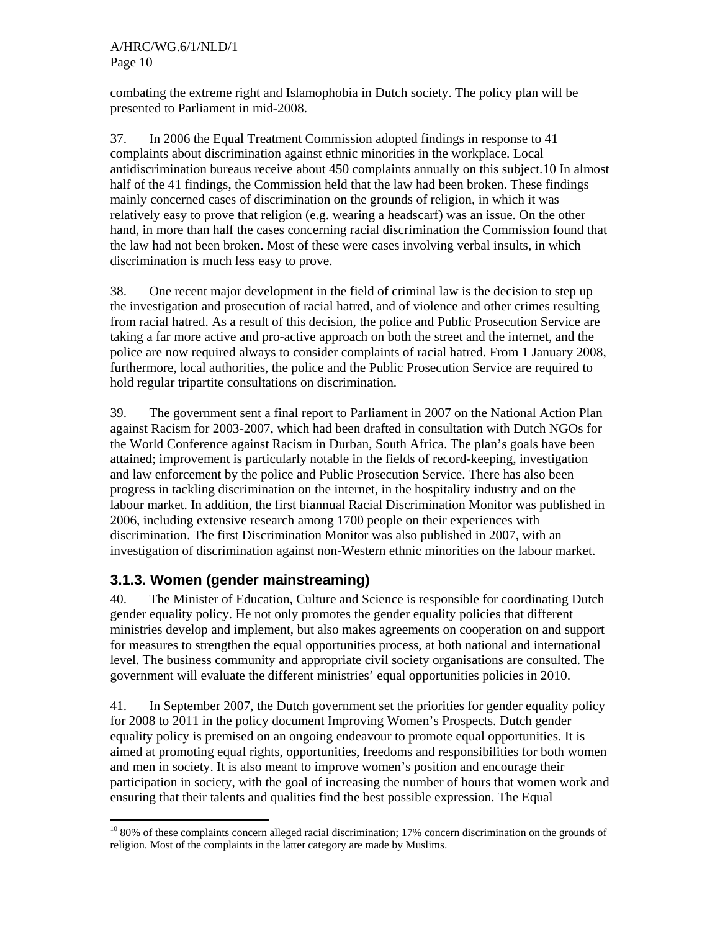combating the extreme right and Islamophobia in Dutch society. The policy plan will be presented to Parliament in mid-2008.

37. In 2006 the Equal Treatment Commission adopted findings in response to 41 complaints about discrimination against ethnic minorities in the workplace. Local antidiscrimination bureaus receive about 450 complaints annually on this subject.10 In almost half of the 41 findings, the Commission held that the law had been broken. These findings mainly concerned cases of discrimination on the grounds of religion, in which it was relatively easy to prove that religion (e.g. wearing a headscarf) was an issue. On the other hand, in more than half the cases concerning racial discrimination the Commission found that the law had not been broken. Most of these were cases involving verbal insults, in which discrimination is much less easy to prove.

38. One recent major development in the field of criminal law is the decision to step up the investigation and prosecution of racial hatred, and of violence and other crimes resulting from racial hatred. As a result of this decision, the police and Public Prosecution Service are taking a far more active and pro-active approach on both the street and the internet, and the police are now required always to consider complaints of racial hatred. From 1 January 2008, furthermore, local authorities, the police and the Public Prosecution Service are required to hold regular tripartite consultations on discrimination.

39. The government sent a final report to Parliament in 2007 on the National Action Plan against Racism for 2003-2007, which had been drafted in consultation with Dutch NGOs for the World Conference against Racism in Durban, South Africa. The plan's goals have been attained; improvement is particularly notable in the fields of record-keeping, investigation and law enforcement by the police and Public Prosecution Service. There has also been progress in tackling discrimination on the internet, in the hospitality industry and on the labour market. In addition, the first biannual Racial Discrimination Monitor was published in 2006, including extensive research among 1700 people on their experiences with discrimination. The first Discrimination Monitor was also published in 2007, with an investigation of discrimination against non-Western ethnic minorities on the labour market.

### **3.1.3. Women (gender mainstreaming)**

40. The Minister of Education, Culture and Science is responsible for coordinating Dutch gender equality policy. He not only promotes the gender equality policies that different ministries develop and implement, but also makes agreements on cooperation on and support for measures to strengthen the equal opportunities process, at both national and international level. The business community and appropriate civil society organisations are consulted. The government will evaluate the different ministries' equal opportunities policies in 2010.

41. In September 2007, the Dutch government set the priorities for gender equality policy for 2008 to 2011 in the policy document Improving Women's Prospects. Dutch gender equality policy is premised on an ongoing endeavour to promote equal opportunities. It is aimed at promoting equal rights, opportunities, freedoms and responsibilities for both women and men in society. It is also meant to improve women's position and encourage their participation in society, with the goal of increasing the number of hours that women work and ensuring that their talents and qualities find the best possible expression. The Equal

<sup>-</sup><sup>10</sup> 80% of these complaints concern alleged racial discrimination; 17% concern discrimination on the grounds of religion. Most of the complaints in the latter category are made by Muslims.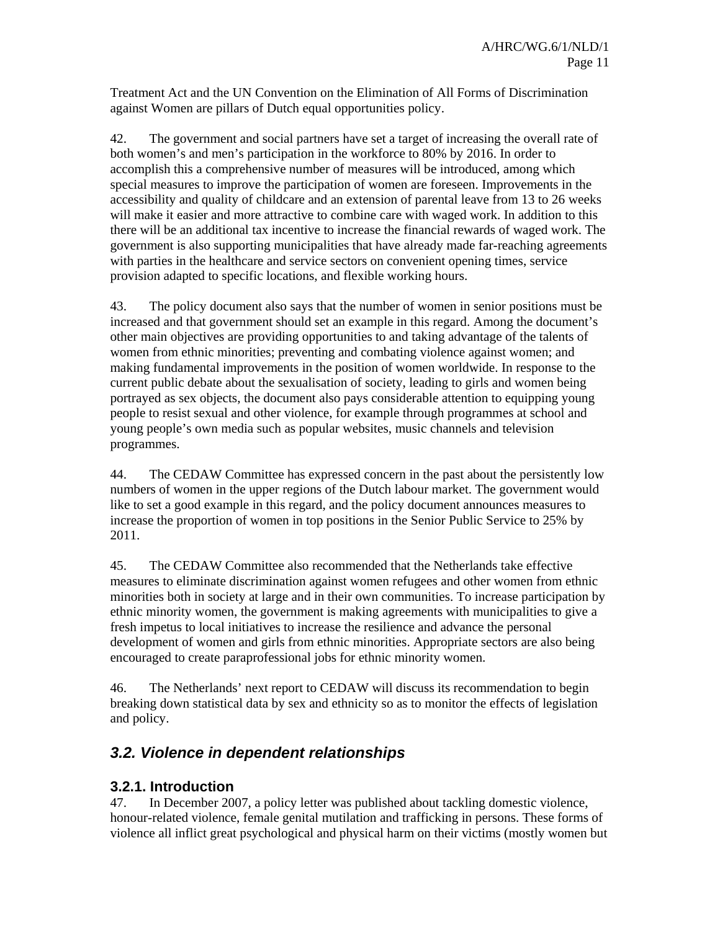Treatment Act and the UN Convention on the Elimination of All Forms of Discrimination against Women are pillars of Dutch equal opportunities policy.

42. The government and social partners have set a target of increasing the overall rate of both women's and men's participation in the workforce to 80% by 2016. In order to accomplish this a comprehensive number of measures will be introduced, among which special measures to improve the participation of women are foreseen. Improvements in the accessibility and quality of childcare and an extension of parental leave from 13 to 26 weeks will make it easier and more attractive to combine care with waged work. In addition to this there will be an additional tax incentive to increase the financial rewards of waged work. The government is also supporting municipalities that have already made far-reaching agreements with parties in the healthcare and service sectors on convenient opening times, service provision adapted to specific locations, and flexible working hours.

43. The policy document also says that the number of women in senior positions must be increased and that government should set an example in this regard. Among the document's other main objectives are providing opportunities to and taking advantage of the talents of women from ethnic minorities; preventing and combating violence against women; and making fundamental improvements in the position of women worldwide. In response to the current public debate about the sexualisation of society, leading to girls and women being portrayed as sex objects, the document also pays considerable attention to equipping young people to resist sexual and other violence, for example through programmes at school and young people's own media such as popular websites, music channels and television programmes.

44. The CEDAW Committee has expressed concern in the past about the persistently low numbers of women in the upper regions of the Dutch labour market. The government would like to set a good example in this regard, and the policy document announces measures to increase the proportion of women in top positions in the Senior Public Service to 25% by 2011.

45. The CEDAW Committee also recommended that the Netherlands take effective measures to eliminate discrimination against women refugees and other women from ethnic minorities both in society at large and in their own communities. To increase participation by ethnic minority women, the government is making agreements with municipalities to give a fresh impetus to local initiatives to increase the resilience and advance the personal development of women and girls from ethnic minorities. Appropriate sectors are also being encouraged to create paraprofessional jobs for ethnic minority women.

46. The Netherlands' next report to CEDAW will discuss its recommendation to begin breaking down statistical data by sex and ethnicity so as to monitor the effects of legislation and policy.

## *3.2. Violence in dependent relationships*

### **3.2.1. Introduction**

47. In December 2007, a policy letter was published about tackling domestic violence, honour-related violence, female genital mutilation and trafficking in persons. These forms of violence all inflict great psychological and physical harm on their victims (mostly women but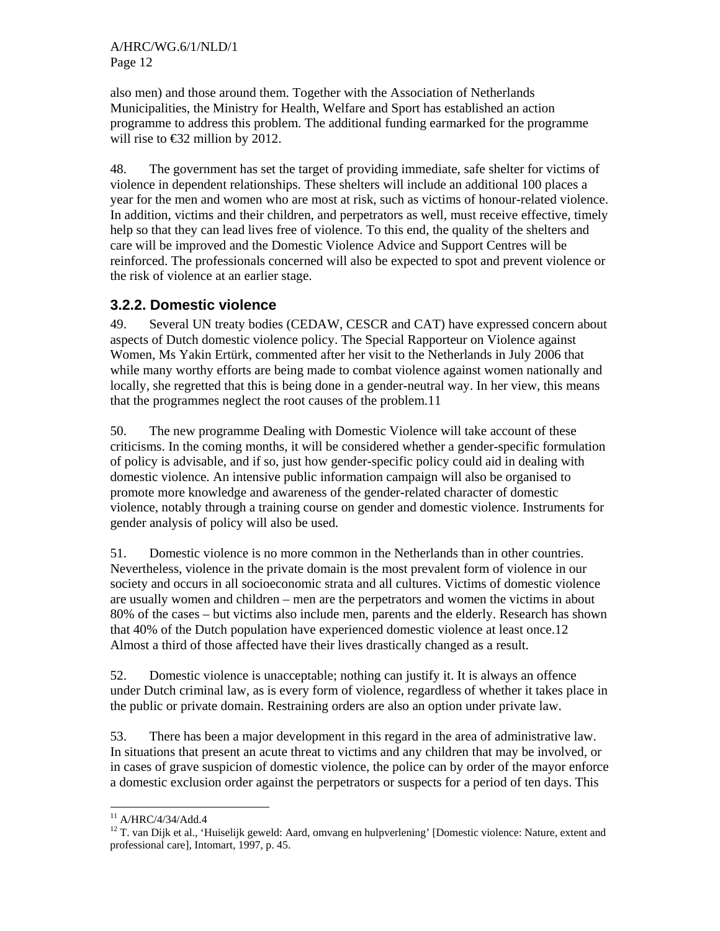also men) and those around them. Together with the Association of Netherlands Municipalities, the Ministry for Health, Welfare and Sport has established an action programme to address this problem. The additional funding earmarked for the programme will rise to  $\bigoplus$  22 million by 2012.

48. The government has set the target of providing immediate, safe shelter for victims of violence in dependent relationships. These shelters will include an additional 100 places a year for the men and women who are most at risk, such as victims of honour-related violence. In addition, victims and their children, and perpetrators as well, must receive effective, timely help so that they can lead lives free of violence. To this end, the quality of the shelters and care will be improved and the Domestic Violence Advice and Support Centres will be reinforced. The professionals concerned will also be expected to spot and prevent violence or the risk of violence at an earlier stage.

### **3.2.2. Domestic violence**

49. Several UN treaty bodies (CEDAW, CESCR and CAT) have expressed concern about aspects of Dutch domestic violence policy. The Special Rapporteur on Violence against Women, Ms Yakin Ertürk, commented after her visit to the Netherlands in July 2006 that while many worthy efforts are being made to combat violence against women nationally and locally, she regretted that this is being done in a gender-neutral way. In her view, this means that the programmes neglect the root causes of the problem.11

50. The new programme Dealing with Domestic Violence will take account of these criticisms. In the coming months, it will be considered whether a gender-specific formulation of policy is advisable, and if so, just how gender-specific policy could aid in dealing with domestic violence. An intensive public information campaign will also be organised to promote more knowledge and awareness of the gender-related character of domestic violence, notably through a training course on gender and domestic violence. Instruments for gender analysis of policy will also be used.

51. Domestic violence is no more common in the Netherlands than in other countries. Nevertheless, violence in the private domain is the most prevalent form of violence in our society and occurs in all socioeconomic strata and all cultures. Victims of domestic violence are usually women and children – men are the perpetrators and women the victims in about 80% of the cases – but victims also include men, parents and the elderly. Research has shown that 40% of the Dutch population have experienced domestic violence at least once.12 Almost a third of those affected have their lives drastically changed as a result.

52. Domestic violence is unacceptable; nothing can justify it. It is always an offence under Dutch criminal law, as is every form of violence, regardless of whether it takes place in the public or private domain. Restraining orders are also an option under private law.

53. There has been a major development in this regard in the area of administrative law. In situations that present an acute threat to victims and any children that may be involved, or in cases of grave suspicion of domestic violence, the police can by order of the mayor enforce a domestic exclusion order against the perpetrators or suspects for a period of ten days. This

<sup>-</sup> $11$  A/HRC/4/34/Add.4

<sup>&</sup>lt;sup>12</sup> T. van Dijk et al., 'Huiselijk geweld: Aard, omvang en hulpverlening' [Domestic violence: Nature, extent and professional care], Intomart, 1997, p. 45.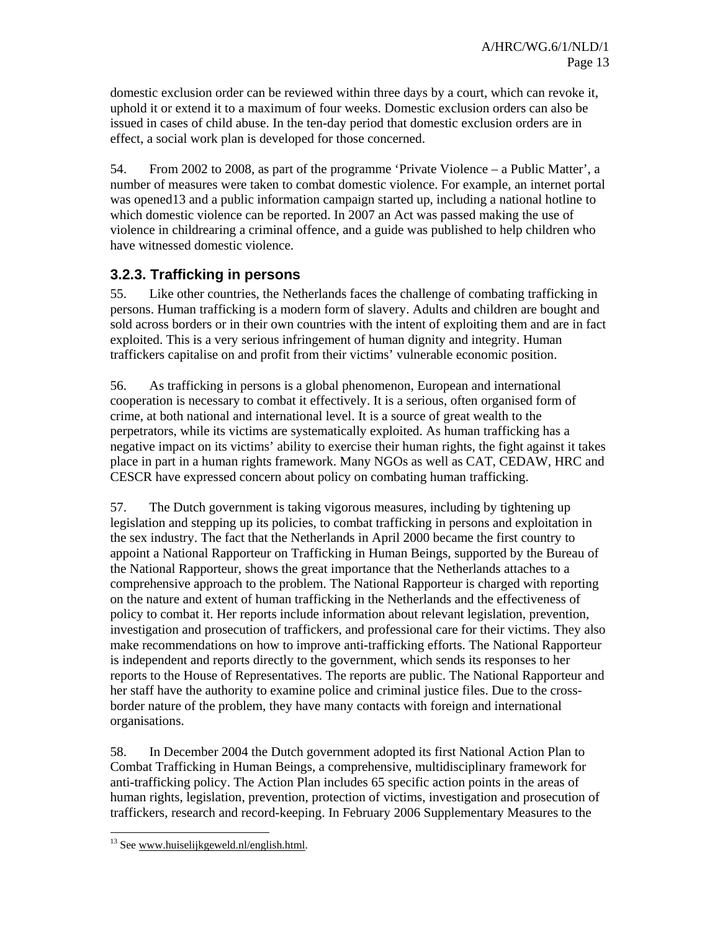domestic exclusion order can be reviewed within three days by a court, which can revoke it, uphold it or extend it to a maximum of four weeks. Domestic exclusion orders can also be issued in cases of child abuse. In the ten-day period that domestic exclusion orders are in effect, a social work plan is developed for those concerned.

54. From 2002 to 2008, as part of the programme 'Private Violence – a Public Matter', a number of measures were taken to combat domestic violence. For example, an internet portal was opened13 and a public information campaign started up, including a national hotline to which domestic violence can be reported. In 2007 an Act was passed making the use of violence in childrearing a criminal offence, and a guide was published to help children who have witnessed domestic violence.

### **3.2.3. Trafficking in persons**

55. Like other countries, the Netherlands faces the challenge of combating trafficking in persons. Human trafficking is a modern form of slavery. Adults and children are bought and sold across borders or in their own countries with the intent of exploiting them and are in fact exploited. This is a very serious infringement of human dignity and integrity. Human traffickers capitalise on and profit from their victims' vulnerable economic position.

56. As trafficking in persons is a global phenomenon, European and international cooperation is necessary to combat it effectively. It is a serious, often organised form of crime, at both national and international level. It is a source of great wealth to the perpetrators, while its victims are systematically exploited. As human trafficking has a negative impact on its victims' ability to exercise their human rights, the fight against it takes place in part in a human rights framework. Many NGOs as well as CAT, CEDAW, HRC and CESCR have expressed concern about policy on combating human trafficking.

57. The Dutch government is taking vigorous measures, including by tightening up legislation and stepping up its policies, to combat trafficking in persons and exploitation in the sex industry. The fact that the Netherlands in April 2000 became the first country to appoint a National Rapporteur on Trafficking in Human Beings, supported by the Bureau of the National Rapporteur, shows the great importance that the Netherlands attaches to a comprehensive approach to the problem. The National Rapporteur is charged with reporting on the nature and extent of human trafficking in the Netherlands and the effectiveness of policy to combat it. Her reports include information about relevant legislation, prevention, investigation and prosecution of traffickers, and professional care for their victims. They also make recommendations on how to improve anti-trafficking efforts. The National Rapporteur is independent and reports directly to the government, which sends its responses to her reports to the House of Representatives. The reports are public. The National Rapporteur and her staff have the authority to examine police and criminal justice files. Due to the crossborder nature of the problem, they have many contacts with foreign and international organisations.

58. In December 2004 the Dutch government adopted its first National Action Plan to Combat Trafficking in Human Beings, a comprehensive, multidisciplinary framework for anti-trafficking policy. The Action Plan includes 65 specific action points in the areas of human rights, legislation, prevention, protection of victims, investigation and prosecution of traffickers, research and record-keeping. In February 2006 Supplementary Measures to the

<sup>-</sup> $13$  See www.huiselijkgeweld.nl/english.html.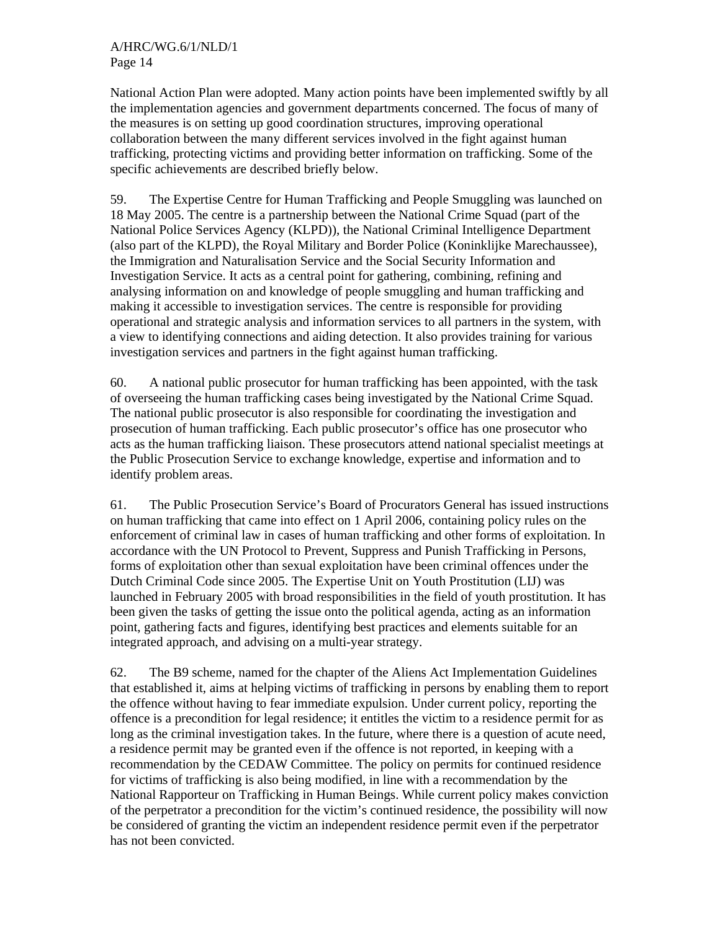National Action Plan were adopted. Many action points have been implemented swiftly by all the implementation agencies and government departments concerned. The focus of many of the measures is on setting up good coordination structures, improving operational collaboration between the many different services involved in the fight against human trafficking, protecting victims and providing better information on trafficking. Some of the specific achievements are described briefly below.

59. The Expertise Centre for Human Trafficking and People Smuggling was launched on 18 May 2005. The centre is a partnership between the National Crime Squad (part of the National Police Services Agency (KLPD)), the National Criminal Intelligence Department (also part of the KLPD), the Royal Military and Border Police (Koninklijke Marechaussee), the Immigration and Naturalisation Service and the Social Security Information and Investigation Service. It acts as a central point for gathering, combining, refining and analysing information on and knowledge of people smuggling and human trafficking and making it accessible to investigation services. The centre is responsible for providing operational and strategic analysis and information services to all partners in the system, with a view to identifying connections and aiding detection. It also provides training for various investigation services and partners in the fight against human trafficking.

60. A national public prosecutor for human trafficking has been appointed, with the task of overseeing the human trafficking cases being investigated by the National Crime Squad. The national public prosecutor is also responsible for coordinating the investigation and prosecution of human trafficking. Each public prosecutor's office has one prosecutor who acts as the human trafficking liaison. These prosecutors attend national specialist meetings at the Public Prosecution Service to exchange knowledge, expertise and information and to identify problem areas.

61. The Public Prosecution Service's Board of Procurators General has issued instructions on human trafficking that came into effect on 1 April 2006, containing policy rules on the enforcement of criminal law in cases of human trafficking and other forms of exploitation. In accordance with the UN Protocol to Prevent, Suppress and Punish Trafficking in Persons, forms of exploitation other than sexual exploitation have been criminal offences under the Dutch Criminal Code since 2005. The Expertise Unit on Youth Prostitution (LIJ) was launched in February 2005 with broad responsibilities in the field of youth prostitution. It has been given the tasks of getting the issue onto the political agenda, acting as an information point, gathering facts and figures, identifying best practices and elements suitable for an integrated approach, and advising on a multi-year strategy.

62. The B9 scheme, named for the chapter of the Aliens Act Implementation Guidelines that established it, aims at helping victims of trafficking in persons by enabling them to report the offence without having to fear immediate expulsion. Under current policy, reporting the offence is a precondition for legal residence; it entitles the victim to a residence permit for as long as the criminal investigation takes. In the future, where there is a question of acute need, a residence permit may be granted even if the offence is not reported, in keeping with a recommendation by the CEDAW Committee. The policy on permits for continued residence for victims of trafficking is also being modified, in line with a recommendation by the National Rapporteur on Trafficking in Human Beings. While current policy makes conviction of the perpetrator a precondition for the victim's continued residence, the possibility will now be considered of granting the victim an independent residence permit even if the perpetrator has not been convicted.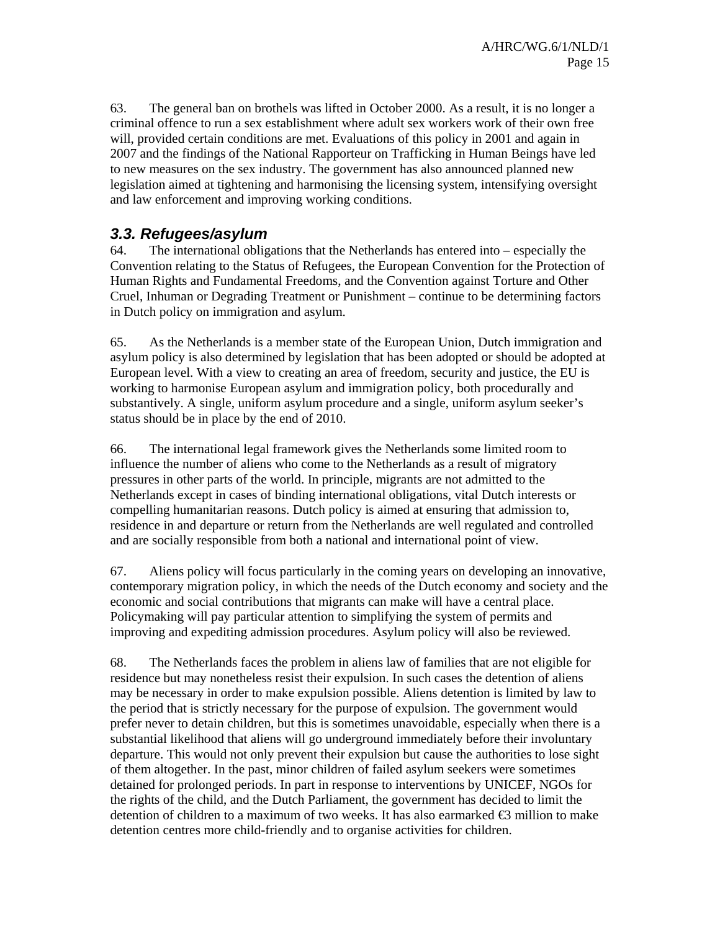63. The general ban on brothels was lifted in October 2000. As a result, it is no longer a criminal offence to run a sex establishment where adult sex workers work of their own free will, provided certain conditions are met. Evaluations of this policy in 2001 and again in 2007 and the findings of the National Rapporteur on Trafficking in Human Beings have led to new measures on the sex industry. The government has also announced planned new legislation aimed at tightening and harmonising the licensing system, intensifying oversight and law enforcement and improving working conditions.

### *3.3. Refugees/asylum*

64. The international obligations that the Netherlands has entered into – especially the Convention relating to the Status of Refugees, the European Convention for the Protection of Human Rights and Fundamental Freedoms, and the Convention against Torture and Other Cruel, Inhuman or Degrading Treatment or Punishment – continue to be determining factors in Dutch policy on immigration and asylum.

65. As the Netherlands is a member state of the European Union, Dutch immigration and asylum policy is also determined by legislation that has been adopted or should be adopted at European level. With a view to creating an area of freedom, security and justice, the EU is working to harmonise European asylum and immigration policy, both procedurally and substantively. A single, uniform asylum procedure and a single, uniform asylum seeker's status should be in place by the end of 2010.

66. The international legal framework gives the Netherlands some limited room to influence the number of aliens who come to the Netherlands as a result of migratory pressures in other parts of the world. In principle, migrants are not admitted to the Netherlands except in cases of binding international obligations, vital Dutch interests or compelling humanitarian reasons. Dutch policy is aimed at ensuring that admission to, residence in and departure or return from the Netherlands are well regulated and controlled and are socially responsible from both a national and international point of view.

67. Aliens policy will focus particularly in the coming years on developing an innovative, contemporary migration policy, in which the needs of the Dutch economy and society and the economic and social contributions that migrants can make will have a central place. Policymaking will pay particular attention to simplifying the system of permits and improving and expediting admission procedures. Asylum policy will also be reviewed.

68. The Netherlands faces the problem in aliens law of families that are not eligible for residence but may nonetheless resist their expulsion. In such cases the detention of aliens may be necessary in order to make expulsion possible. Aliens detention is limited by law to the period that is strictly necessary for the purpose of expulsion. The government would prefer never to detain children, but this is sometimes unavoidable, especially when there is a substantial likelihood that aliens will go underground immediately before their involuntary departure. This would not only prevent their expulsion but cause the authorities to lose sight of them altogether. In the past, minor children of failed asylum seekers were sometimes detained for prolonged periods. In part in response to interventions by UNICEF, NGOs for the rights of the child, and the Dutch Parliament, the government has decided to limit the detention of children to a maximum of two weeks. It has also earmarked  $\bigoplus$  million to make detention centres more child-friendly and to organise activities for children.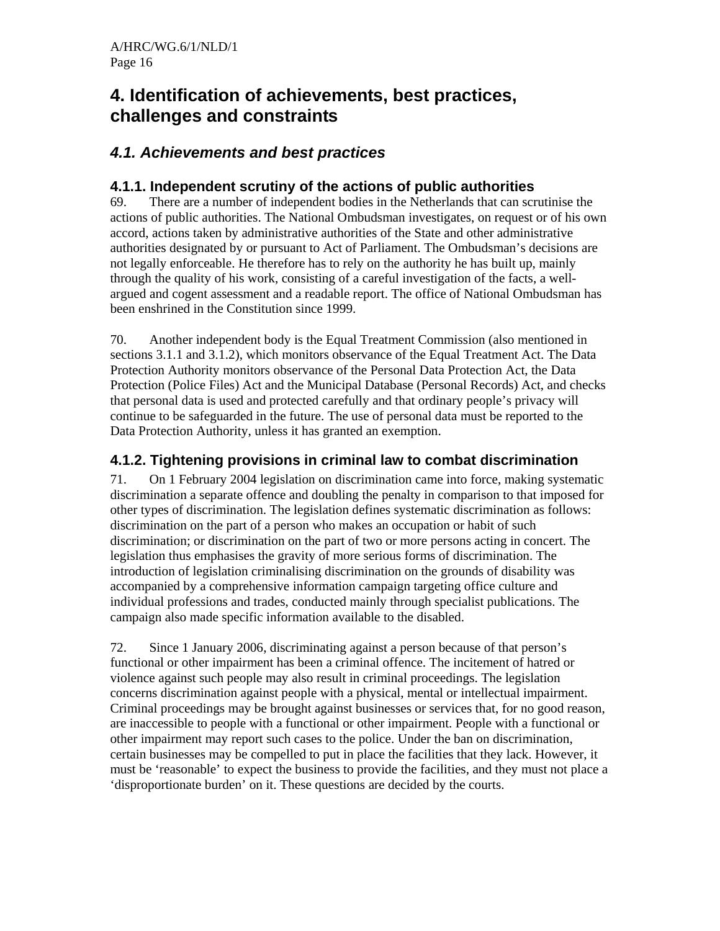## **4. Identification of achievements, best practices, challenges and constraints**

## *4.1. Achievements and best practices*

### **4.1.1. Independent scrutiny of the actions of public authorities**

69. There are a number of independent bodies in the Netherlands that can scrutinise the actions of public authorities. The National Ombudsman investigates, on request or of his own accord, actions taken by administrative authorities of the State and other administrative authorities designated by or pursuant to Act of Parliament. The Ombudsman's decisions are not legally enforceable. He therefore has to rely on the authority he has built up, mainly through the quality of his work, consisting of a careful investigation of the facts, a wellargued and cogent assessment and a readable report. The office of National Ombudsman has been enshrined in the Constitution since 1999.

70. Another independent body is the Equal Treatment Commission (also mentioned in sections 3.1.1 and 3.1.2), which monitors observance of the Equal Treatment Act. The Data Protection Authority monitors observance of the Personal Data Protection Act, the Data Protection (Police Files) Act and the Municipal Database (Personal Records) Act, and checks that personal data is used and protected carefully and that ordinary people's privacy will continue to be safeguarded in the future. The use of personal data must be reported to the Data Protection Authority, unless it has granted an exemption.

## **4.1.2. Tightening provisions in criminal law to combat discrimination**

71. On 1 February 2004 legislation on discrimination came into force, making systematic discrimination a separate offence and doubling the penalty in comparison to that imposed for other types of discrimination. The legislation defines systematic discrimination as follows: discrimination on the part of a person who makes an occupation or habit of such discrimination; or discrimination on the part of two or more persons acting in concert. The legislation thus emphasises the gravity of more serious forms of discrimination. The introduction of legislation criminalising discrimination on the grounds of disability was accompanied by a comprehensive information campaign targeting office culture and individual professions and trades, conducted mainly through specialist publications. The campaign also made specific information available to the disabled.

72. Since 1 January 2006, discriminating against a person because of that person's functional or other impairment has been a criminal offence. The incitement of hatred or violence against such people may also result in criminal proceedings. The legislation concerns discrimination against people with a physical, mental or intellectual impairment. Criminal proceedings may be brought against businesses or services that, for no good reason, are inaccessible to people with a functional or other impairment. People with a functional or other impairment may report such cases to the police. Under the ban on discrimination, certain businesses may be compelled to put in place the facilities that they lack. However, it must be 'reasonable' to expect the business to provide the facilities, and they must not place a 'disproportionate burden' on it. These questions are decided by the courts.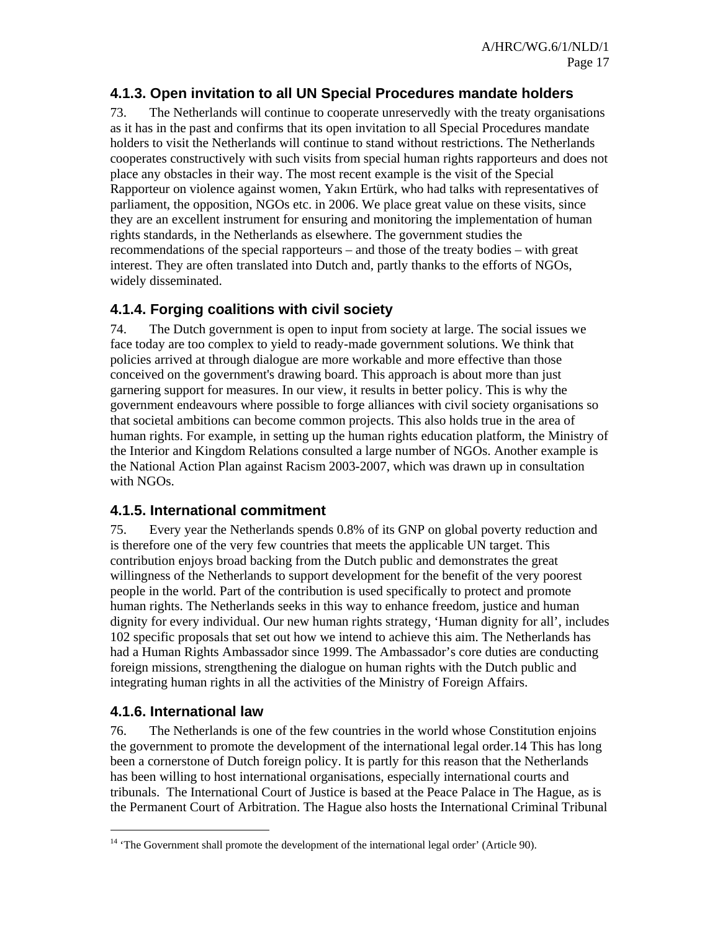### **4.1.3. Open invitation to all UN Special Procedures mandate holders**

73. The Netherlands will continue to cooperate unreservedly with the treaty organisations as it has in the past and confirms that its open invitation to all Special Procedures mandate holders to visit the Netherlands will continue to stand without restrictions. The Netherlands cooperates constructively with such visits from special human rights rapporteurs and does not place any obstacles in their way. The most recent example is the visit of the Special Rapporteur on violence against women, Yakın Ertürk, who had talks with representatives of parliament, the opposition, NGOs etc. in 2006. We place great value on these visits, since they are an excellent instrument for ensuring and monitoring the implementation of human rights standards, in the Netherlands as elsewhere. The government studies the recommendations of the special rapporteurs – and those of the treaty bodies – with great interest. They are often translated into Dutch and, partly thanks to the efforts of NGOs, widely disseminated.

### **4.1.4. Forging coalitions with civil society**

74. The Dutch government is open to input from society at large. The social issues we face today are too complex to yield to ready-made government solutions. We think that policies arrived at through dialogue are more workable and more effective than those conceived on the government's drawing board. This approach is about more than just garnering support for measures. In our view, it results in better policy. This is why the government endeavours where possible to forge alliances with civil society organisations so that societal ambitions can become common projects. This also holds true in the area of human rights. For example, in setting up the human rights education platform, the Ministry of the Interior and Kingdom Relations consulted a large number of NGOs. Another example is the National Action Plan against Racism 2003-2007, which was drawn up in consultation with NGOs.

### **4.1.5. International commitment**

75. Every year the Netherlands spends 0.8% of its GNP on global poverty reduction and is therefore one of the very few countries that meets the applicable UN target. This contribution enjoys broad backing from the Dutch public and demonstrates the great willingness of the Netherlands to support development for the benefit of the very poorest people in the world. Part of the contribution is used specifically to protect and promote human rights. The Netherlands seeks in this way to enhance freedom, justice and human dignity for every individual. Our new human rights strategy, 'Human dignity for all', includes 102 specific proposals that set out how we intend to achieve this aim. The Netherlands has had a Human Rights Ambassador since 1999. The Ambassador's core duties are conducting foreign missions, strengthening the dialogue on human rights with the Dutch public and integrating human rights in all the activities of the Ministry of Foreign Affairs.

### **4.1.6. International law**

-

76. The Netherlands is one of the few countries in the world whose Constitution enjoins the government to promote the development of the international legal order.14 This has long been a cornerstone of Dutch foreign policy. It is partly for this reason that the Netherlands has been willing to host international organisations, especially international courts and tribunals. The International Court of Justice is based at the Peace Palace in The Hague, as is the Permanent Court of Arbitration. The Hague also hosts the International Criminal Tribunal

 $14$  'The Government shall promote the development of the international legal order' (Article 90).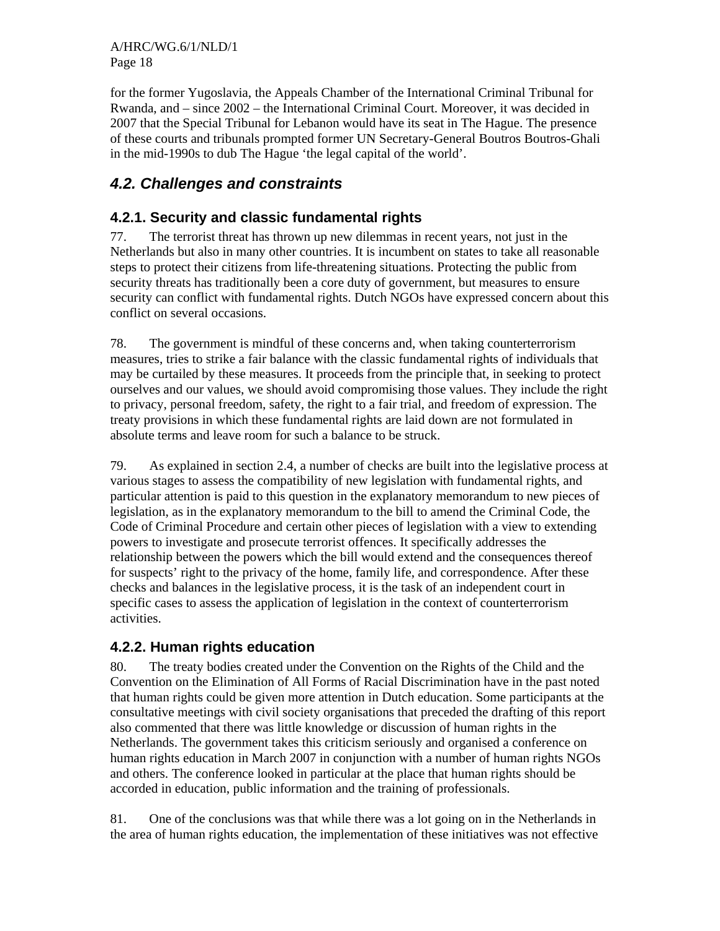A/HRC/WG.6/1/NLD/1 Page 18

for the former Yugoslavia, the Appeals Chamber of the International Criminal Tribunal for Rwanda, and – since 2002 – the International Criminal Court. Moreover, it was decided in 2007 that the Special Tribunal for Lebanon would have its seat in The Hague. The presence of these courts and tribunals prompted former UN Secretary-General Boutros Boutros-Ghali in the mid-1990s to dub The Hague 'the legal capital of the world'.

## *4.2. Challenges and constraints*

### **4.2.1. Security and classic fundamental rights**

77. The terrorist threat has thrown up new dilemmas in recent years, not just in the Netherlands but also in many other countries. It is incumbent on states to take all reasonable steps to protect their citizens from life-threatening situations. Protecting the public from security threats has traditionally been a core duty of government, but measures to ensure security can conflict with fundamental rights. Dutch NGOs have expressed concern about this conflict on several occasions.

78. The government is mindful of these concerns and, when taking counterterrorism measures, tries to strike a fair balance with the classic fundamental rights of individuals that may be curtailed by these measures. It proceeds from the principle that, in seeking to protect ourselves and our values, we should avoid compromising those values. They include the right to privacy, personal freedom, safety, the right to a fair trial, and freedom of expression. The treaty provisions in which these fundamental rights are laid down are not formulated in absolute terms and leave room for such a balance to be struck.

79. As explained in section 2.4, a number of checks are built into the legislative process at various stages to assess the compatibility of new legislation with fundamental rights, and particular attention is paid to this question in the explanatory memorandum to new pieces of legislation, as in the explanatory memorandum to the bill to amend the Criminal Code, the Code of Criminal Procedure and certain other pieces of legislation with a view to extending powers to investigate and prosecute terrorist offences. It specifically addresses the relationship between the powers which the bill would extend and the consequences thereof for suspects' right to the privacy of the home, family life, and correspondence. After these checks and balances in the legislative process, it is the task of an independent court in specific cases to assess the application of legislation in the context of counterterrorism activities.

#### **4.2.2. Human rights education**

80. The treaty bodies created under the Convention on the Rights of the Child and the Convention on the Elimination of All Forms of Racial Discrimination have in the past noted that human rights could be given more attention in Dutch education. Some participants at the consultative meetings with civil society organisations that preceded the drafting of this report also commented that there was little knowledge or discussion of human rights in the Netherlands. The government takes this criticism seriously and organised a conference on human rights education in March 2007 in conjunction with a number of human rights NGOs and others. The conference looked in particular at the place that human rights should be accorded in education, public information and the training of professionals.

81. One of the conclusions was that while there was a lot going on in the Netherlands in the area of human rights education, the implementation of these initiatives was not effective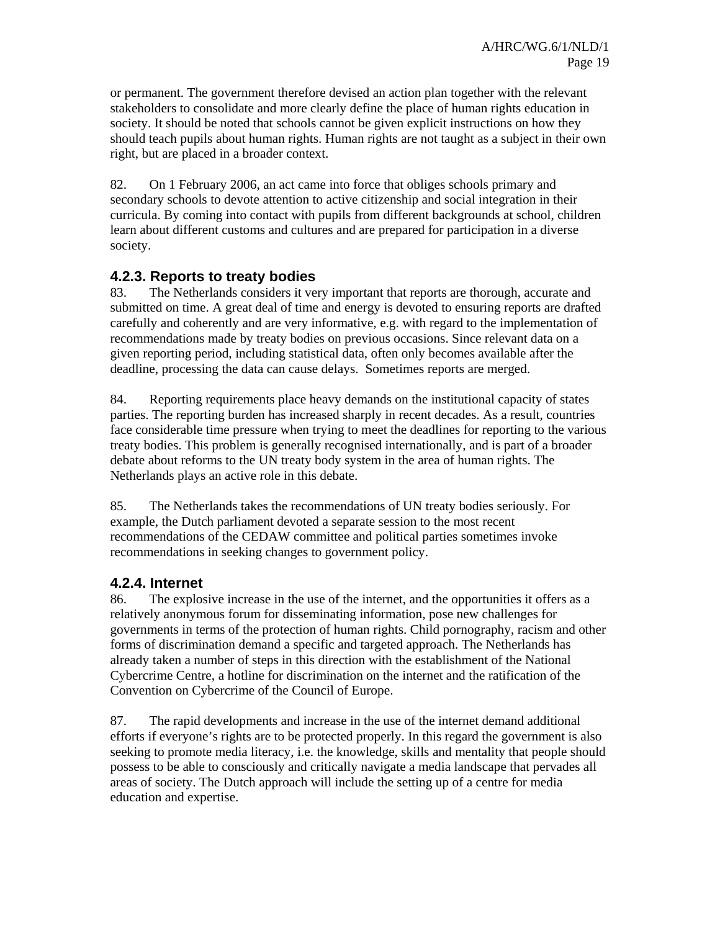or permanent. The government therefore devised an action plan together with the relevant stakeholders to consolidate and more clearly define the place of human rights education in society. It should be noted that schools cannot be given explicit instructions on how they should teach pupils about human rights. Human rights are not taught as a subject in their own right, but are placed in a broader context.

82. On 1 February 2006, an act came into force that obliges schools primary and secondary schools to devote attention to active citizenship and social integration in their curricula. By coming into contact with pupils from different backgrounds at school, children learn about different customs and cultures and are prepared for participation in a diverse society.

### **4.2.3. Reports to treaty bodies**

83. The Netherlands considers it very important that reports are thorough, accurate and submitted on time. A great deal of time and energy is devoted to ensuring reports are drafted carefully and coherently and are very informative, e.g. with regard to the implementation of recommendations made by treaty bodies on previous occasions. Since relevant data on a given reporting period, including statistical data, often only becomes available after the deadline, processing the data can cause delays. Sometimes reports are merged.

84. Reporting requirements place heavy demands on the institutional capacity of states parties. The reporting burden has increased sharply in recent decades. As a result, countries face considerable time pressure when trying to meet the deadlines for reporting to the various treaty bodies. This problem is generally recognised internationally, and is part of a broader debate about reforms to the UN treaty body system in the area of human rights. The Netherlands plays an active role in this debate.

85. The Netherlands takes the recommendations of UN treaty bodies seriously. For example, the Dutch parliament devoted a separate session to the most recent recommendations of the CEDAW committee and political parties sometimes invoke recommendations in seeking changes to government policy.

#### **4.2.4. Internet**

86. The explosive increase in the use of the internet, and the opportunities it offers as a relatively anonymous forum for disseminating information, pose new challenges for governments in terms of the protection of human rights. Child pornography, racism and other forms of discrimination demand a specific and targeted approach. The Netherlands has already taken a number of steps in this direction with the establishment of the National Cybercrime Centre, a hotline for discrimination on the internet and the ratification of the Convention on Cybercrime of the Council of Europe.

87. The rapid developments and increase in the use of the internet demand additional efforts if everyone's rights are to be protected properly. In this regard the government is also seeking to promote media literacy, i.e. the knowledge, skills and mentality that people should possess to be able to consciously and critically navigate a media landscape that pervades all areas of society. The Dutch approach will include the setting up of a centre for media education and expertise.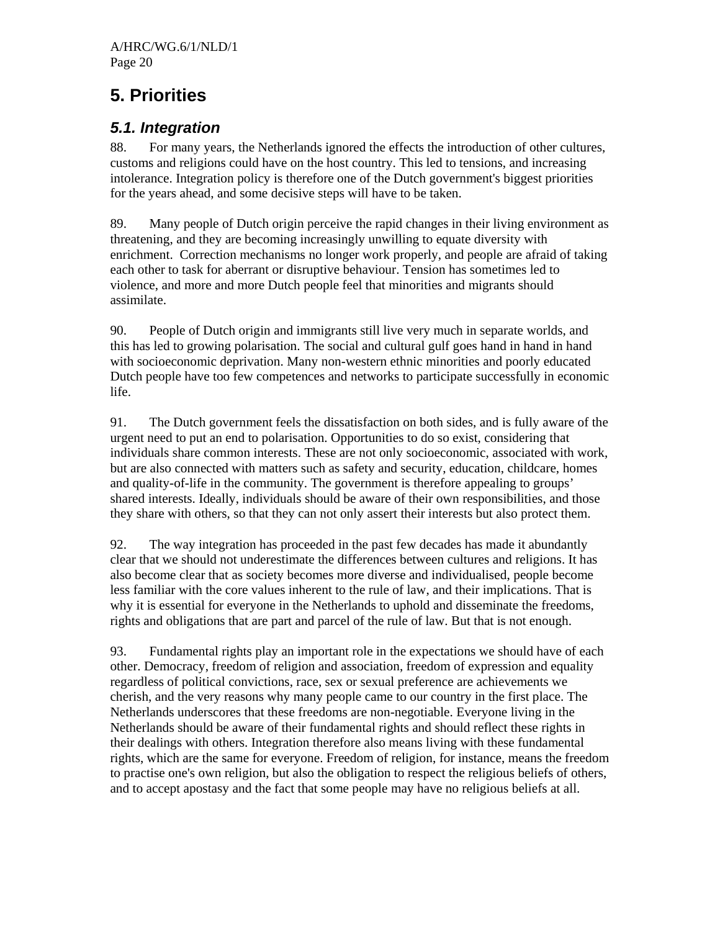# **5. Priorities**

## *5.1. Integration*

88. For many years, the Netherlands ignored the effects the introduction of other cultures, customs and religions could have on the host country. This led to tensions, and increasing intolerance. Integration policy is therefore one of the Dutch government's biggest priorities for the years ahead, and some decisive steps will have to be taken.

89. Many people of Dutch origin perceive the rapid changes in their living environment as threatening, and they are becoming increasingly unwilling to equate diversity with enrichment. Correction mechanisms no longer work properly, and people are afraid of taking each other to task for aberrant or disruptive behaviour. Tension has sometimes led to violence, and more and more Dutch people feel that minorities and migrants should assimilate.

90. People of Dutch origin and immigrants still live very much in separate worlds, and this has led to growing polarisation. The social and cultural gulf goes hand in hand in hand with socioeconomic deprivation. Many non-western ethnic minorities and poorly educated Dutch people have too few competences and networks to participate successfully in economic life.

91. The Dutch government feels the dissatisfaction on both sides, and is fully aware of the urgent need to put an end to polarisation. Opportunities to do so exist, considering that individuals share common interests. These are not only socioeconomic, associated with work, but are also connected with matters such as safety and security, education, childcare, homes and quality-of-life in the community. The government is therefore appealing to groups' shared interests. Ideally, individuals should be aware of their own responsibilities, and those they share with others, so that they can not only assert their interests but also protect them.

92. The way integration has proceeded in the past few decades has made it abundantly clear that we should not underestimate the differences between cultures and religions. It has also become clear that as society becomes more diverse and individualised, people become less familiar with the core values inherent to the rule of law, and their implications. That is why it is essential for everyone in the Netherlands to uphold and disseminate the freedoms, rights and obligations that are part and parcel of the rule of law. But that is not enough.

93. Fundamental rights play an important role in the expectations we should have of each other. Democracy, freedom of religion and association, freedom of expression and equality regardless of political convictions, race, sex or sexual preference are achievements we cherish, and the very reasons why many people came to our country in the first place. The Netherlands underscores that these freedoms are non-negotiable. Everyone living in the Netherlands should be aware of their fundamental rights and should reflect these rights in their dealings with others. Integration therefore also means living with these fundamental rights, which are the same for everyone. Freedom of religion, for instance, means the freedom to practise one's own religion, but also the obligation to respect the religious beliefs of others, and to accept apostasy and the fact that some people may have no religious beliefs at all.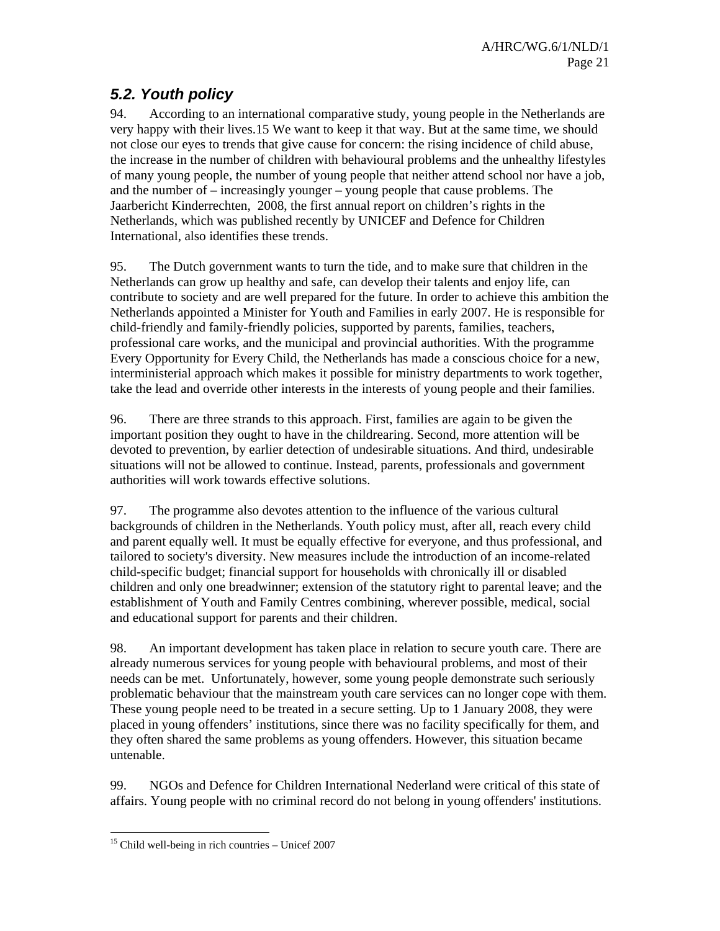## *5.2. Youth policy*

94. According to an international comparative study, young people in the Netherlands are very happy with their lives.15 We want to keep it that way. But at the same time, we should not close our eyes to trends that give cause for concern: the rising incidence of child abuse, the increase in the number of children with behavioural problems and the unhealthy lifestyles of many young people, the number of young people that neither attend school nor have a job, and the number of – increasingly younger – young people that cause problems. The Jaarbericht Kinderrechten, 2008, the first annual report on children's rights in the Netherlands, which was published recently by UNICEF and Defence for Children International, also identifies these trends.

95. The Dutch government wants to turn the tide, and to make sure that children in the Netherlands can grow up healthy and safe, can develop their talents and enjoy life, can contribute to society and are well prepared for the future. In order to achieve this ambition the Netherlands appointed a Minister for Youth and Families in early 2007. He is responsible for child-friendly and family-friendly policies, supported by parents, families, teachers, professional care works, and the municipal and provincial authorities. With the programme Every Opportunity for Every Child, the Netherlands has made a conscious choice for a new, interministerial approach which makes it possible for ministry departments to work together, take the lead and override other interests in the interests of young people and their families.

96. There are three strands to this approach. First, families are again to be given the important position they ought to have in the childrearing. Second, more attention will be devoted to prevention, by earlier detection of undesirable situations. And third, undesirable situations will not be allowed to continue. Instead, parents, professionals and government authorities will work towards effective solutions.

97. The programme also devotes attention to the influence of the various cultural backgrounds of children in the Netherlands. Youth policy must, after all, reach every child and parent equally well. It must be equally effective for everyone, and thus professional, and tailored to society's diversity. New measures include the introduction of an income-related child-specific budget; financial support for households with chronically ill or disabled children and only one breadwinner; extension of the statutory right to parental leave; and the establishment of Youth and Family Centres combining, wherever possible, medical, social and educational support for parents and their children.

98. An important development has taken place in relation to secure youth care. There are already numerous services for young people with behavioural problems, and most of their needs can be met. Unfortunately, however, some young people demonstrate such seriously problematic behaviour that the mainstream youth care services can no longer cope with them. These young people need to be treated in a secure setting. Up to 1 January 2008, they were placed in young offenders' institutions, since there was no facility specifically for them, and they often shared the same problems as young offenders. However, this situation became untenable.

99. NGOs and Defence for Children International Nederland were critical of this state of affairs. Young people with no criminal record do not belong in young offenders' institutions.

<sup>-</sup> $15$  Child well-being in rich countries – Unicef 2007